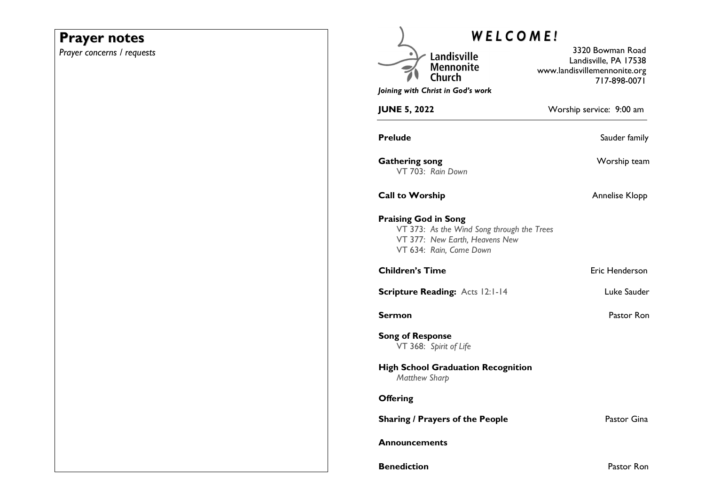# **Prayer notes**

*Prayer concerns / requests* 

| WELCOME!                                                                                                                               |                                                                                           |
|----------------------------------------------------------------------------------------------------------------------------------------|-------------------------------------------------------------------------------------------|
| Landisville<br><b>Mennonite</b><br>Church<br>Joining with Christ in God's work                                                         | 3320 Bowman Road<br>Landisville, PA 17538<br>www.landisvillemennonite.org<br>717-898-0071 |
| <b>JUNE 5, 2022</b>                                                                                                                    | Worship service: 9:00 am                                                                  |
| <b>Prelude</b>                                                                                                                         | Sauder family                                                                             |
| <b>Gathering song</b><br>VT 703: Rain Down                                                                                             | Worship team                                                                              |
| <b>Call to Worship</b>                                                                                                                 | Annelise Klopp                                                                            |
| <b>Praising God in Song</b><br>VT 373: As the Wind Song through the Trees<br>VT 377: New Earth, Heavens New<br>VT 634: Rain, Come Down |                                                                                           |
| <b>Children's Time</b>                                                                                                                 | Eric Henderson                                                                            |
| Scripture Reading: Acts 12:1-14                                                                                                        | Luke Sauder                                                                               |
| <b>Sermon</b>                                                                                                                          | Pastor Ron                                                                                |
| <b>Song of Response</b><br>VT 368: Spirit of Life                                                                                      |                                                                                           |
| <b>High School Graduation Recognition</b><br><b>Matthew Sharp</b>                                                                      |                                                                                           |
| <b>Offering</b>                                                                                                                        |                                                                                           |
| <b>Sharing / Prayers of the People</b>                                                                                                 | Pastor Gina                                                                               |
| <b>Announcements</b>                                                                                                                   |                                                                                           |
| <b>Benediction</b>                                                                                                                     | Pastor Ron                                                                                |